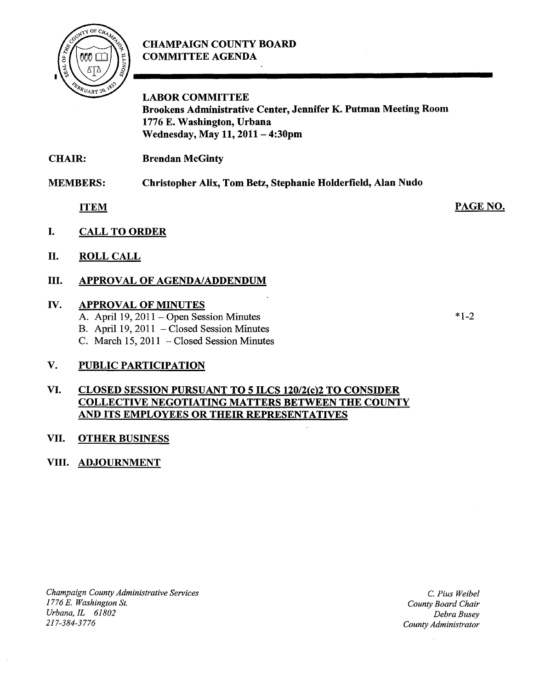# **CHAMPAIGN COUNTY BOARD COMMITTEE AGENDA**



**LABOR COMMITTEE Brookens Administrative Center, Jennifer K. Putman Meeting Room 1776 E. Washington, Urbana Wednesday, May 11, 2011- 4:30pm** 

**CHAIR: Brendan McGinty** 

**MEMBERS: Christopher Alix, Tom Betz, Stephanie Holderfield, Alan Nudo** 

**ITEM** 

- **I. CALL TO ORDER**
- **II. ROLL CALL**

## **III. APPROVAL OF AGENDA/ADDENDUM**

#### **IV. APPROVAL OF MINUTES**

- A. April 19, 2011 Open Session Minutes
- B. April 19, 2011 Closed Session Minutes
- C. March 15, 2011 Closed Session Minutes

#### **V. PUBLIC PARTICIPATION**

#### **VI. CLOSED SESSION PURSUANT TO 5 ILCS 120/2(c)2 TO CONSIDER COLLECTIVE NEGOTIATING MATTERS BETWEEN THE COUNTY AND ITS EMPLOYEES OR THEIR REPRESENTATIVES**

## **VII. OTHER BUSINESS**

## **VIII. ADJOURNMENT**

*Champaign County Administrative Services 1776 E. Washington St. Urbana,IL 61802*  217-384-3776

C. *Pius Weibel County Board Chair Debra Busey County Administrator* 

\*1-2

PAGE NO.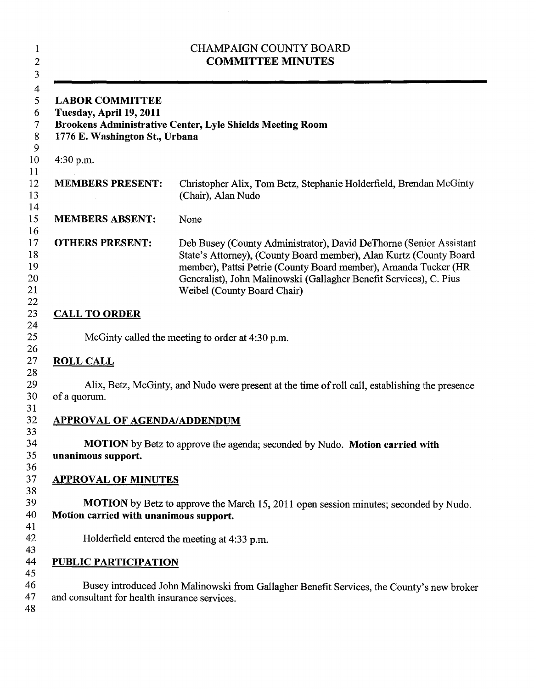| <b>CHAMPAIGN COUNTY BOARD</b><br><b>COMMITTEE MINUTES</b><br><b>LABOR COMMITTEE</b><br>Tuesday, April 19, 2011<br>Brookens Administrative Center, Lyle Shields Meeting Room<br>1776 E. Washington St., Urbana |                                                                                                                                                                                                                                                                                                                  |
|---------------------------------------------------------------------------------------------------------------------------------------------------------------------------------------------------------------|------------------------------------------------------------------------------------------------------------------------------------------------------------------------------------------------------------------------------------------------------------------------------------------------------------------|
|                                                                                                                                                                                                               |                                                                                                                                                                                                                                                                                                                  |
| <b>MEMBERS PRESENT:</b>                                                                                                                                                                                       | Christopher Alix, Tom Betz, Stephanie Holderfield, Brendan McGinty<br>(Chair), Alan Nudo                                                                                                                                                                                                                         |
| <b>MEMBERS ABSENT:</b>                                                                                                                                                                                        | None                                                                                                                                                                                                                                                                                                             |
| <b>OTHERS PRESENT:</b>                                                                                                                                                                                        | Deb Busey (County Administrator), David DeThorne (Senior Assistant<br>State's Attorney), (County Board member), Alan Kurtz (County Board<br>member), Pattsi Petrie (County Board member), Amanda Tucker (HR<br>Generalist), John Malinowski (Gallagher Benefit Services), C. Pius<br>Weibel (County Board Chair) |
| <b>CALL TO ORDER</b>                                                                                                                                                                                          |                                                                                                                                                                                                                                                                                                                  |
|                                                                                                                                                                                                               | McGinty called the meeting to order at 4:30 p.m.                                                                                                                                                                                                                                                                 |
| <b>ROLL CALL</b>                                                                                                                                                                                              |                                                                                                                                                                                                                                                                                                                  |
| of a quorum.                                                                                                                                                                                                  | Alix, Betz, McGinty, and Nudo were present at the time of roll call, establishing the presence                                                                                                                                                                                                                   |
| <b>APPROVAL OF AGENDA/ADDENDUM</b>                                                                                                                                                                            |                                                                                                                                                                                                                                                                                                                  |
| unanimous support.                                                                                                                                                                                            | <b>MOTION</b> by Betz to approve the agenda; seconded by Nudo. <b>Motion carried with</b>                                                                                                                                                                                                                        |
| <b>APPROVAL OF MINUTES</b>                                                                                                                                                                                    |                                                                                                                                                                                                                                                                                                                  |
| Motion carried with unanimous support.                                                                                                                                                                        | <b>MOTION</b> by Betz to approve the March 15, 2011 open session minutes; seconded by Nudo.                                                                                                                                                                                                                      |
|                                                                                                                                                                                                               | Holderfield entered the meeting at 4:33 p.m.                                                                                                                                                                                                                                                                     |
| <b>PUBLIC PARTICIPATION</b>                                                                                                                                                                                   |                                                                                                                                                                                                                                                                                                                  |
| and consultant for health insurance services.                                                                                                                                                                 | Busey introduced John Malinowski from Gallagher Benefit Services, the County's new broker                                                                                                                                                                                                                        |

 $\hat{\mathcal{L}}$